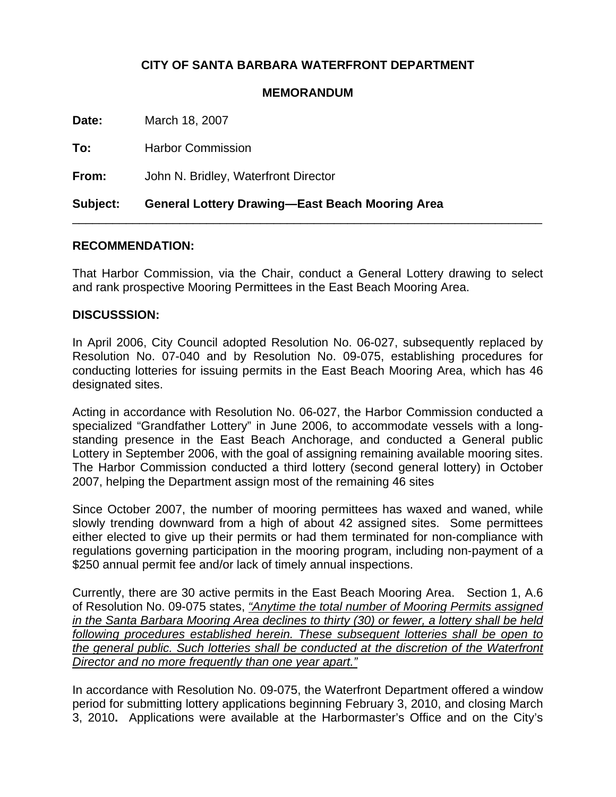## **CITY OF SANTA BARBARA WATERFRONT DEPARTMENT**

## **MEMORANDUM**

**Date:** March 18, 2007

**To:** Harbor Commission

**From:** John N. Bridley, Waterfront Director

**Subject: General Lottery Drawing—East Beach Mooring Area** 

## **RECOMMENDATION:**

That Harbor Commission, via the Chair, conduct a General Lottery drawing to select and rank prospective Mooring Permittees in the East Beach Mooring Area.

\_\_\_\_\_\_\_\_\_\_\_\_\_\_\_\_\_\_\_\_\_\_\_\_\_\_\_\_\_\_\_\_\_\_\_\_\_\_\_\_\_\_\_\_\_\_\_\_\_\_\_\_\_\_\_\_\_\_\_\_\_\_\_\_\_\_\_\_\_\_

## **DISCUSSSION:**

In April 2006, City Council adopted Resolution No. 06-027, subsequently replaced by Resolution No. 07-040 and by Resolution No. 09-075, establishing procedures for conducting lotteries for issuing permits in the East Beach Mooring Area, which has 46 designated sites.

Acting in accordance with Resolution No. 06-027, the Harbor Commission conducted a specialized "Grandfather Lottery" in June 2006, to accommodate vessels with a longstanding presence in the East Beach Anchorage, and conducted a General public Lottery in September 2006, with the goal of assigning remaining available mooring sites. The Harbor Commission conducted a third lottery (second general lottery) in October 2007, helping the Department assign most of the remaining 46 sites

Since October 2007, the number of mooring permittees has waxed and waned, while slowly trending downward from a high of about 42 assigned sites. Some permittees either elected to give up their permits or had them terminated for non-compliance with regulations governing participation in the mooring program, including non-payment of a \$250 annual permit fee and/or lack of timely annual inspections.

Currently, there are 30 active permits in the East Beach Mooring Area. Section 1, A.6 of Resolution No. 09-075 states, *"Anytime the total number of Mooring Permits assigned in the Santa Barbara Mooring Area declines to thirty (30) or fewer, a lottery shall be held following procedures established herein. These subsequent lotteries shall be open to the general public. Such lotteries shall be conducted at the discretion of the Waterfront Director and no more frequently than one year apart."*

In accordance with Resolution No. 09-075, the Waterfront Department offered a window period for submitting lottery applications beginning February 3, 2010, and closing March 3, 2010**.** Applications were available at the Harbormaster's Office and on the City's